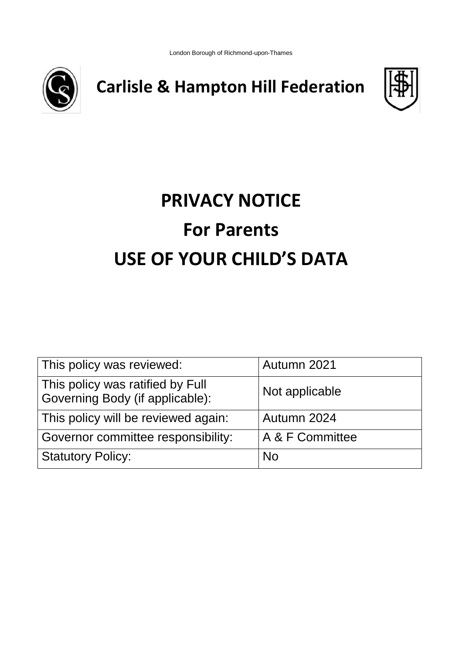London Borough of Richmond-upon-Thames



**Carlisle & Hampton Hill Federation**



# **PRIVACY NOTICE For Parents USE OF YOUR CHILD'S DATA**

| This policy was reviewed:                                           | Autumn 2021     |
|---------------------------------------------------------------------|-----------------|
| This policy was ratified by Full<br>Governing Body (if applicable): | Not applicable  |
| This policy will be reviewed again:                                 | Autumn 2024     |
| Governor committee responsibility:                                  | A & F Committee |
| <b>Statutory Policy:</b>                                            | <b>No</b>       |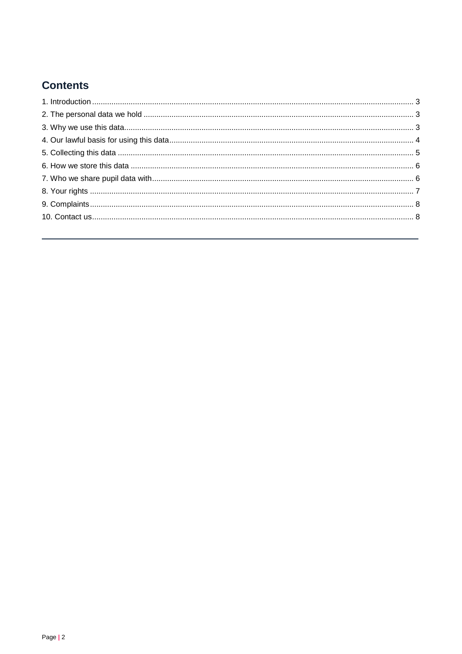# **Contents**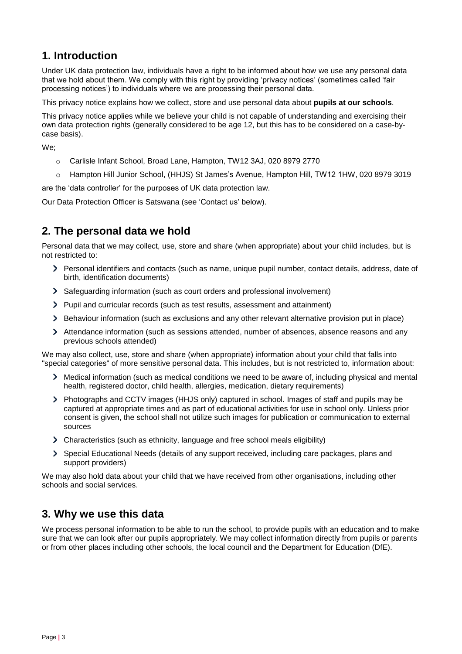# <span id="page-2-0"></span>**1. Introduction**

Under UK data protection law, individuals have a right to be informed about how we use any personal data that we hold about them. We comply with this right by providing 'privacy notices' (sometimes called 'fair processing notices') to individuals where we are processing their personal data.

This privacy notice explains how we collect, store and use personal data about **pupils at our schools**.

This privacy notice applies while we believe your child is not capable of understanding and exercising their own data protection rights (generally considered to be age 12, but this has to be considered on a case-bycase basis).

We;

- o Carlisle Infant School, Broad Lane, Hampton, TW12 3AJ, 020 8979 2770
- o Hampton Hill Junior School, (HHJS) St James's Avenue, Hampton Hill, TW12 1HW, 020 8979 3019

are the 'data controller' for the purposes of UK data protection law.

Our Data Protection Officer is Satswana (see 'Contact us' below).

# <span id="page-2-1"></span>**2. The personal data we hold**

Personal data that we may collect, use, store and share (when appropriate) about your child includes, but is not restricted to:

- > Personal identifiers and contacts (such as name, unique pupil number, contact details, address, date of birth, identification documents)
- Safeguarding information (such as court orders and professional involvement)
- Pupil and curricular records (such as test results, assessment and attainment)
- > Behaviour information (such as exclusions and any other relevant alternative provision put in place)
- > Attendance information (such as sessions attended, number of absences, absence reasons and any previous schools attended)

We may also collect, use, store and share (when appropriate) information about your child that falls into "special categories" of more sensitive personal data. This includes, but is not restricted to, information about:

- Medical information (such as medical conditions we need to be aware of, including physical and mental health, registered doctor, child health, allergies, medication, dietary requirements)
- Photographs and CCTV images (HHJS only) captured in school. Images of staff and pupils may be captured at appropriate times and as part of educational activities for use in school only. Unless prior consent is given, the school shall not utilize such images for publication or communication to external sources
- Characteristics (such as ethnicity, language and free school meals eligibility)
- Special Educational Needs (details of any support received, including care packages, plans and support providers)

We may also hold data about your child that we have received from other organisations, including other schools and social services.

# <span id="page-2-2"></span>**3. Why we use this data**

We process personal information to be able to run the school, to provide pupils with an education and to make sure that we can look after our pupils appropriately. We may collect information directly from pupils or parents or from other places including other schools, the local council and the Department for Education (DfE).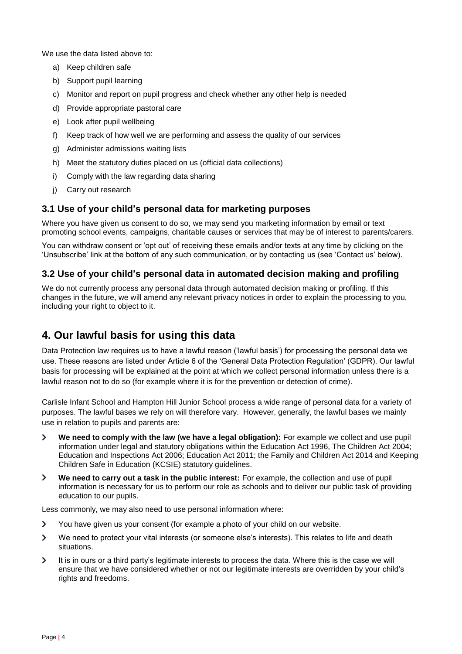We use the data listed above to:

- a) Keep children safe
- b) Support pupil learning
- c) Monitor and report on pupil progress and check whether any other help is needed
- d) Provide appropriate pastoral care
- e) Look after pupil wellbeing
- f) Keep track of how well we are performing and assess the quality of our services
- g) Administer admissions waiting lists
- h) Meet the statutory duties placed on us (official data collections)
- i) Comply with the law regarding data sharing
- j) Carry out research

#### **3.1 Use of your child's personal data for marketing purposes**

Where you have given us consent to do so, we may send you marketing information by email or text promoting school events, campaigns, charitable causes or services that may be of interest to parents/carers.

You can withdraw consent or 'opt out' of receiving these emails and/or texts at any time by clicking on the 'Unsubscribe' link at the bottom of any such communication, or by contacting us (see 'Contact us' below).

#### **3.2 Use of your child's personal data in automated decision making and profiling**

We do not currently process any personal data through automated decision making or profiling. If this changes in the future, we will amend any relevant privacy notices in order to explain the processing to you, including your right to object to it.

# <span id="page-3-0"></span>**4. Our lawful basis for using this data**

Data Protection law requires us to have a lawful reason ('lawful basis') for processing the personal data we use. These reasons are listed under Article 6 of the 'General Data Protection Regulation' (GDPR). Our lawful basis for processing will be explained at the point at which we collect personal information unless there is a lawful reason not to do so (for example where it is for the prevention or detection of crime).

Carlisle Infant School and Hampton Hill Junior School process a wide range of personal data for a variety of purposes. The lawful bases we rely on will therefore vary. However, generally, the lawful bases we mainly use in relation to pupils and parents are:

- $\overline{\phantom{0}}$ **We need to comply with the law (we have a legal obligation):** For example we collect and use pupil information under legal and statutory obligations within the Education Act 1996, The Children Act 2004; Education and Inspections Act 2006; Education Act 2011; the Family and Children Act 2014 and Keeping Children Safe in Education (KCSIE) statutory guidelines.
- **We need to carry out a task in the public interest:** For example, the collection and use of pupil ゝ information is necessary for us to perform our role as schools and to deliver our public task of providing education to our pupils.

Less commonly, we may also need to use personal information where:

- $\mathbf{\Sigma}$ You have given us your consent (for example a photo of your child on our website.
- ⋗ We need to protect your vital interests (or someone else's interests). This relates to life and death situations.
- $\mathbf{\Sigma}$ It is in ours or a third party's legitimate interests to process the data. Where this is the case we will ensure that we have considered whether or not our legitimate interests are overridden by your child's rights and freedoms.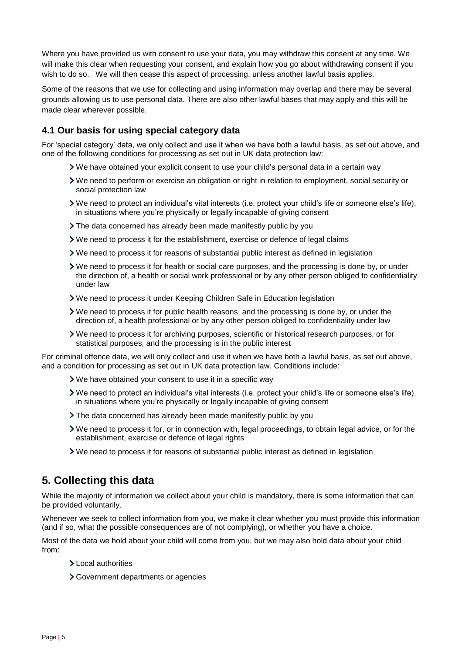Where you have provided us with consent to use your data, you may withdraw this consent at any time. We will make this clear when requesting your consent, and explain how you go about withdrawing consent if you wish to do so. We will then cease this aspect of processing, unless another lawful basis applies.

Some of the reasons that we use for collecting and using information may overlap and there may be several grounds allowing us to use personal data. There are also other lawful bases that may apply and this will be made clear wherever possible.

#### **4.1 Our basis for using special category data**

For 'special category' data, we only collect and use it when we have both a lawful basis, as set out above, and one of the following conditions for processing as set out in UK data protection law:

- We have obtained your explicit consent to use your child's personal data in a certain way
- We need to perform or exercise an obligation or right in relation to employment, social security or social protection law
- We need to protect an individual's vital interests (i.e. protect your child's life or someone else's life), in situations where you're physically or legally incapable of giving consent
- The data concerned has already been made manifestly public by you
- $\triangleright$  We need to process it for the establishment, exercise or defence of legal claims
- We need to process it for reasons of substantial public interest as defined in legislation
- We need to process it for health or social care purposes, and the processing is done by, or under the direction of, a health or social work professional or by any other person obliged to confidentiality under law
- We need to process it under Keeping Children Safe in Education legislation
- We need to process it for public health reasons, and the processing is done by, or under the direction of, a health professional or by any other person obliged to confidentiality under law
- We need to process it for archiving purposes, scientific or historical research purposes, or for statistical purposes, and the processing is in the public interest

For criminal offence data, we will only collect and use it when we have both a lawful basis, as set out above, and a condition for processing as set out in UK data protection law. Conditions include:

- We have obtained your consent to use it in a specific way
- We need to protect an individual's vital interests (i.e. protect your child's life or someone else's life), in situations where you're physically or legally incapable of giving consent
- The data concerned has already been made manifestly public by you
- We need to process it for, or in connection with, legal proceedings, to obtain legal advice, or for the establishment, exercise or defence of legal rights
- We need to process it for reasons of substantial public interest as defined in legislation

# <span id="page-4-0"></span>**5. Collecting this data**

While the majority of information we collect about your child is mandatory, there is some information that can be provided voluntarily.

Whenever we seek to collect information from you, we make it clear whether you must provide this information (and if so, what the possible consequences are of not complying), or whether you have a choice.

Most of the data we hold about your child will come from you, but we may also hold data about your child from:

- Local authorities
- Government departments or agencies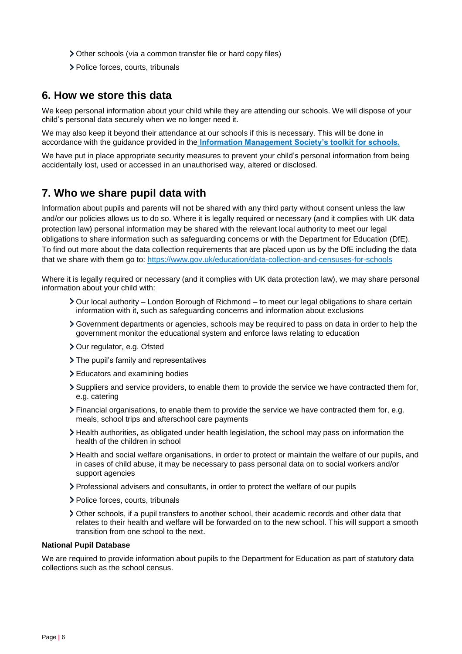- Other schools (via a common transfer file or hard copy files)
- > Police forces, courts, tribunals

### <span id="page-5-0"></span>**6. How we store this data**

We keep personal information about your child while they are attending our schools. We will dispose of your child's personal data securely when we no longer need it.

We may also keep it beyond their attendance at our schools if this is necessary. This will be done in accordance with the guidance provided in the **[Information Management Society's toolkit for schools.](https://irms.org.uk/page/schoolstoolkit?&terms=%22toolkit+and+schools%22)**

We have put in place appropriate security measures to prevent your child's personal information from being accidentally lost, used or accessed in an unauthorised way, altered or disclosed.

# <span id="page-5-1"></span>**7. Who we share pupil data with**

Information about pupils and parents will not be shared with any third party without consent unless the law and/or our policies allows us to do so. Where it is legally required or necessary (and it complies with UK data protection law) personal information may be shared with the relevant local authority to meet our legal obligations to share information such as safeguarding concerns or with the Department for Education (DfE). To find out more about the data collection requirements that are placed upon us by the DfE including the data that we share with them go to:<https://www.gov.uk/education/data-collection-and-censuses-for-schools>

Where it is legally required or necessary (and it complies with UK data protection law), we may share personal information about your child with:

- Our local authority London Borough of Richmond to meet our legal obligations to share certain information with it, such as safeguarding concerns and information about exclusions
- Government departments or agencies, schools may be required to pass on data in order to help the government monitor the educational system and enforce laws relating to education
- > Our regulator, e.g. Ofsted
- > The pupil's family and representatives
- Educators and examining bodies
- Suppliers and service providers, to enable them to provide the service we have contracted them for, e.g. catering
- Financial organisations, to enable them to provide the service we have contracted them for, e.g. meals, school trips and afterschool care payments
- Health authorities, as obligated under health legislation, the school may pass on information the health of the children in school
- Health and social welfare organisations, in order to protect or maintain the welfare of our pupils, and in cases of child abuse, it may be necessary to pass personal data on to social workers and/or support agencies
- Professional advisers and consultants, in order to protect the welfare of our pupils
- > Police forces, courts, tribunals
- Other schools, if a pupil transfers to another school, their academic records and other data that relates to their health and welfare will be forwarded on to the new school. This will support a smooth transition from one school to the next.

#### **National Pupil Database**

We are required to provide information about pupils to the Department for Education as part of statutory data collections such as the school census.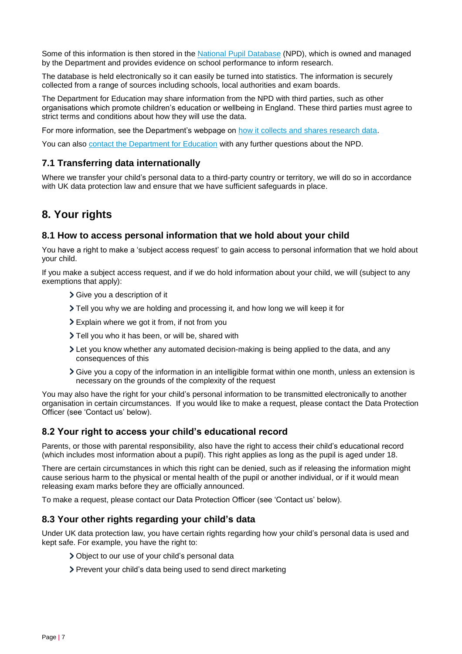Some of this information is then stored in the [National Pupil Database](https://www.gov.uk/government/collections/national-pupil-database) (NPD), which is owned and managed by the Department and provides evidence on school performance to inform research.

The database is held electronically so it can easily be turned into statistics. The information is securely collected from a range of sources including schools, local authorities and exam boards.

The Department for Education may share information from the NPD with third parties, such as other organisations which promote children's education or wellbeing in England. These third parties must agree to strict terms and conditions about how they will use the data.

For more information, see the Department's webpage on [how it collects and shares research data.](https://www.gov.uk/data-protection-how-we-collect-and-share-research-data)

You can also [contact the Department for Education](https://www.gov.uk/contact-dfe) with any further questions about the NPD.

#### **7.1 Transferring data internationally**

Where we transfer your child's personal data to a third-party country or territory, we will do so in accordance with UK data protection law and ensure that we have sufficient safeguards in place.

# <span id="page-6-0"></span>**8. Your rights**

#### **8.1 How to access personal information that we hold about your child**

You have a right to make a 'subject access request' to gain access to personal information that we hold about your child.

If you make a subject access request, and if we do hold information about your child, we will (subject to any exemptions that apply):

- > Give you a description of it
- Tell you why we are holding and processing it, and how long we will keep it for
- Explain where we got it from, if not from you
- > Tell you who it has been, or will be, shared with
- Let you know whether any automated decision-making is being applied to the data, and any consequences of this
- Give you a copy of the information in an intelligible format within one month, unless an extension is necessary on the grounds of the complexity of the request

You may also have the right for your child's personal information to be transmitted electronically to another organisation in certain circumstances. If you would like to make a request, please contact the Data Protection Officer (see 'Contact us' below).

#### **8.2 Your right to access your child's educational record**

Parents, or those with parental responsibility, also have the right to access their child's educational record (which includes most information about a pupil). This right applies as long as the pupil is aged under 18.

There are certain circumstances in which this right can be denied, such as if releasing the information might cause serious harm to the physical or mental health of the pupil or another individual, or if it would mean releasing exam marks before they are officially announced.

To make a request, please contact our Data Protection Officer (see 'Contact us' below).

#### **8.3 Your other rights regarding your child's data**

Under UK data protection law, you have certain rights regarding how your child's personal data is used and kept safe. For example, you have the right to:

- Object to our use of your child's personal data
- > Prevent your child's data being used to send direct marketing